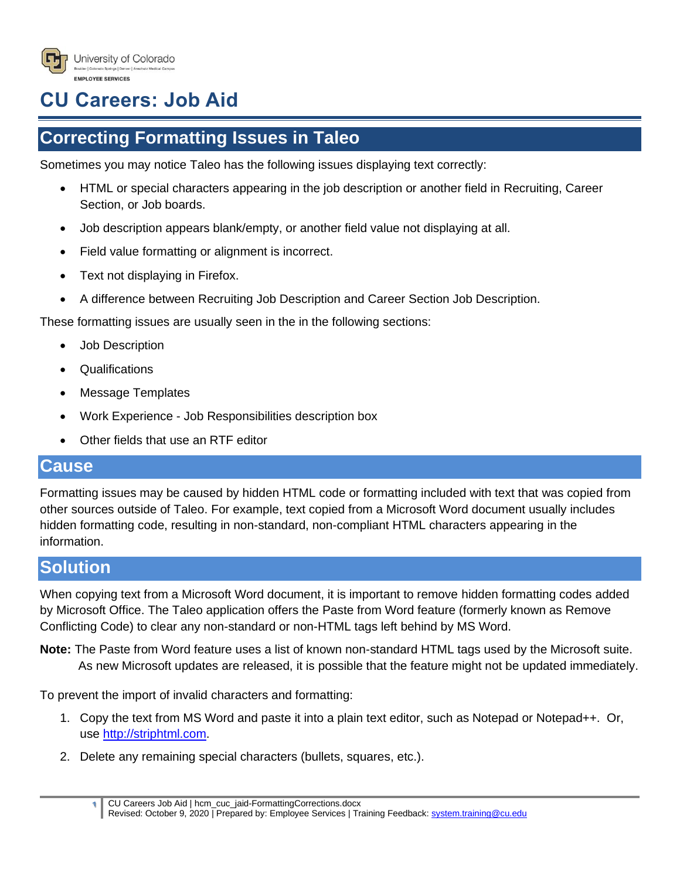

## **CU Careers: Job Aid**

## **Correcting Formatting Issues in Taleo**

Sometimes you may notice Taleo has the following issues displaying text correctly:

- HTML or special characters appearing in the job description or another field in Recruiting, Career Section, or Job boards.
- Job description appears blank/empty, or another field value not displaying at all.
- Field value formatting or alignment is incorrect.
- Text not displaying in Firefox.
- A difference between Recruiting Job Description and Career Section Job Description.

These formatting issues are usually seen in the in the following sections:

- Job Description
- **Qualifications**
- Message Templates
- Work Experience Job Responsibilities description box
- Other fields that use an RTF editor

## **Cause**

Formatting issues may be caused by hidden HTML code or formatting included with text that was copied from other sources outside of Taleo. For example, text copied from a Microsoft Word document usually includes hidden formatting code, resulting in non-standard, non-compliant HTML characters appearing in the information.

## **Solution**

When copying text from a Microsoft Word document, it is important to remove hidden formatting codes added by Microsoft Office. The Taleo application offers the Paste from Word feature (formerly known as Remove Conflicting Code) to clear any non-standard or non-HTML tags left behind by MS Word.

**Note:** The Paste from Word feature uses a list of known non-standard HTML tags used by the Microsoft suite. As new Microsoft updates are released, it is possible that the feature might not be updated immediately.

To prevent the import of invalid characters and formatting:

- 1. Copy the text from MS Word and paste it into a plain text editor, such as Notepad or Notepad++. Or, use [http://striphtml.com.](http://striphtml.com/)
- 2. Delete any remaining special characters (bullets, squares, etc.).